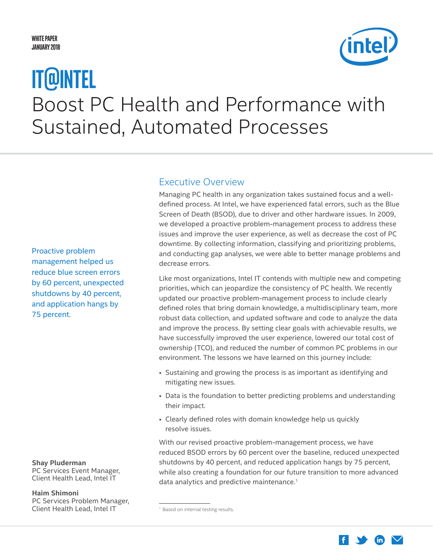### <span id="page-0-0"></span>**White Paper January 2018**

# Boost PC Health and Performance with Sustained, Automated Processes **IT@Intel**

# Executive Overview

Managing PC health in any organization takes sustained focus and a welldefined process. At Intel, we have experienced fatal errors, such as the Blue Screen of Death (BSOD), due to driver and other hardware issues. In 2009, we developed a proactive problem-management process to address these issues and improve the user experience, as well as decrease the cost of PC downtime. By collecting information, classifying and prioritizing problems, and conducting gap analyses, we were able to better manage problems and decrease errors.

Like most organizations, Intel IT contends with multiple new and competing priorities, which can jeopardize the consistency of PC health. We recently updated our proactive problem-management process to include clearly defined roles that bring domain knowledge, a multidisciplinary team, more robust data collection, and updated software and code to analyze the data and improve the process. By setting clear goals with achievable results, we have successfully improved the user experience, lowered our total cost of ownership (TCO), and reduced the number of common PC problems in our environment. The lessons we have learned on this journey include:

- Sustaining and growing the process is as important as identifying and mitigating new issues.
- Data is the foundation to better predicting problems and understanding their impact.
- Clearly defined roles with domain knowledge help us quickly resolve issues.

With our revised proactive problem-management process, we have reduced BSOD errors by 60 percent over the baseline, reduced unexpected shutdowns by 40 percent, and reduced application hangs by 75 percent, while also creating a foundation for our future transition to more advanced data analytics and predictive maintenance.<sup>1</sup>

Proactive problem management helped us reduce blue screen errors by 60 percent, unexpected shutdowns by 40 percent, and application hangs by 75 percent.

## **Shay Pluderman**

PC Services Event Manager, Client Health Lead, Intel IT

### **Haim Shimoni**

PC Services Problem Manager, Client Health Lead, Intel IT



<sup>&</sup>lt;sup>1</sup> Based on internal testing results.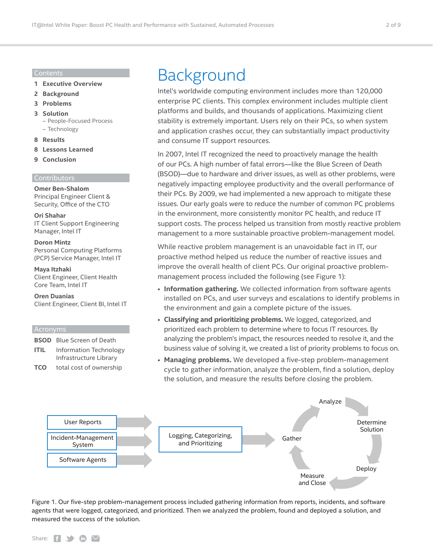#### Contents

- **1 [Executive Overview](#page-0-0)**
- **2 Background**
- **3 [Problems](#page-2-0)**
- **3 [Solution](#page-2-0)**

– [People-Focused Process](#page-3-0) – [Technology](#page-4-0)

- **8 [Results](#page-7-0)**
- **8 [Lessons Learned](#page-7-0)**
- **9 [Conclusion](#page-8-0)**

#### **Contributors**

**Omer Ben-Shalom** Principal Engineer Client & Security, Office of the CTO

**Ori Shahar** IT Client Support Engineering Manager, Intel IT

#### **Doron Mintz**

Personal Computing Platforms (PCP) Service Manager, Intel IT

#### **Maya Itzhaki**

Client Engineer, Client Health Core Team, Intel IT

**Oren Duanias** Client Engineer, Client BI, Intel IT

#### Acronyms

|                | <b>BSOD</b> Blue Screen of Death                 |
|----------------|--------------------------------------------------|
| <b>ITIL</b>    | Information Technology<br>Infrastructure Library |
| $T\cap\bigcap$ | وبالمصمرين بملم للممم الململا                    |

**TCO** total cost of ownership

# Background

Intel's worldwide computing environment includes more than 120,000 enterprise PC clients. This complex environment includes multiple client platforms and builds, and thousands of applications. Maximizing client stability is extremely important. Users rely on their PCs, so when system and application crashes occur, they can substantially impact productivity and consume IT support resources.

In 2007, Intel IT recognized the need to proactively manage the health of our PCs. A high number of fatal errors—like the Blue Screen of Death (BSOD)—due to hardware and driver issues, as well as other problems, were negatively impacting employee productivity and the overall performance of their PCs. By 2009, we had implemented a new approach to mitigate these issues. Our early goals were to reduce the number of common PC problems in the environment, more consistently monitor PC health, and reduce IT support costs. The process helped us transition from mostly reactive problem management to a more sustainable proactive problem-management model.

While reactive problem management is an unavoidable fact in IT, our proactive method helped us reduce the number of reactive issues and improve the overall health of client PCs. Our original proactive problemmanagement process included the following (see Figure 1):

- **Information gathering.** We collected information from software agents installed on PCs, and user surveys and escalations to identify problems in the environment and gain a complete picture of the issues.
- **Classifying and prioritizing problems.** We logged, categorized, and prioritized each problem to determine where to focus IT resources. By analyzing the problem's impact, the resources needed to resolve it, and the business value of solving it, we created a list of priority problems to focus on.
- **Managing problems.** We developed a five-step problem-management cycle to gather information, analyze the problem, find a solution, deploy the solution, and measure the results before closing the problem.



Figure 1. Our five-step problem-management process included gathering information from reports, incidents, and software agents that were logged, categorized, and prioritized. Then we analyzed the problem, found and deployed a solution, and measured the success of the solution.

#### Share:  $\left| \cdot \right|$   $\rightarrow$   $\left| \cdot \right|$   $\rightarrow$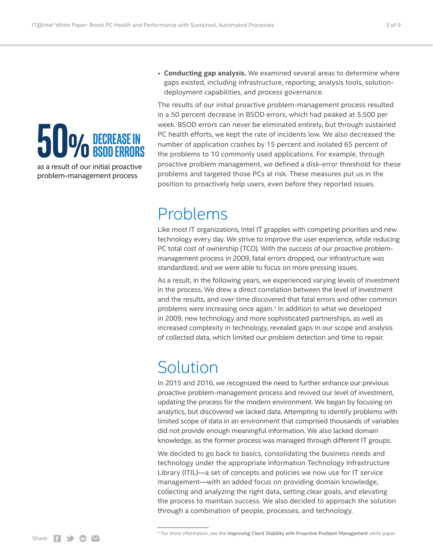# <span id="page-2-0"></span>50% DECREASE IN **BSOD errOrS**

as a result of our initial proactive problem-management process

• **Conducting gap analysis.** We examined several areas to determine where gaps existed, including infrastructure, reporting, analysis tools, solutiondeployment capabilities, and process governance.

The results of our initial proactive problem-management process resulted in a 50 percent decrease in BSOD errors, which had peaked at 5,500 per week. BSOD errors can never be eliminated entirely, but through sustained PC health efforts, we kept the rate of incidents low. We also decreased the number of application crashes by 15 percent and isolated 65 percent of the problems to 10 commonly used applications. For example, through proactive problem management, we defined a disk-error threshold for these problems and targeted those PCs at risk. These measures put us in the position to proactively help users, even before they reported issues.

# Problems

Like most IT organizations, Intel IT grapples with competing priorities and new technology every day. We strive to improve the user experience, while reducing PC total cost of ownership (TCO). With the success of our proactive problemmanagement process in 2009, fatal errors dropped, our infrastructure was standardized, and we were able to focus on more pressing issues.

As a result, in the following years, we experienced varying levels of investment in the process. We drew a direct correlation between the level of investment and the results, and over time discovered that fatal errors and other common problems were increasing once again.2 In addition to what we developed in 2009, new technology and more sophisticated partnerships, as well as increased complexity in technology, revealed gaps in our scope and analysis of collected data, which limited our problem detection and time to repair.

# Solution

In 2015 and 2016, we recognized the need to further enhance our previous proactive problem-management process and revived our level of investment, updating the process for the modern environment. We began by focusing on analytics, but discovered we lacked data. Attempting to identify problems with limited scope of data in an environment that comprised thousands of variables did not provide enough meaningful information. We also lacked domain knowledge, as the former process was managed through different IT groups.

We decided to go back to basics, consolidating the business needs and technology under the appropriate Information Technology Infrastructure Library (ITIL)—a set of concepts and policies we now use for IT service management—with an added focus on providing domain knowledge, collecting and analyzing the right data, setting clear goals, and elevating the process to maintain success. We also decided to approach the solution through a combination of people, processes, and technology.

<sup>&</sup>lt;sup>2</sup> For more information, see the Improving Client Stability with Proactive Problem Management white paper.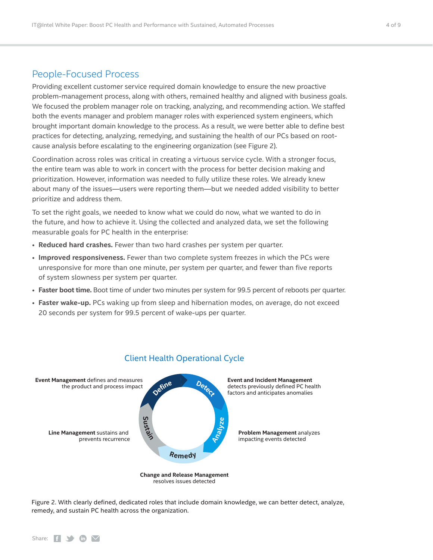# <span id="page-3-0"></span>People-Focused Process

Providing excellent customer service required domain knowledge to ensure the new proactive problem-management process, along with others, remained healthy and aligned with business goals. We focused the problem manager role on tracking, analyzing, and recommending action. We staffed both the events manager and problem manager roles with experienced system engineers, which brought important domain knowledge to the process. As a result, we were better able to define best practices for detecting, analyzing, remedying, and sustaining the health of our PCs based on rootcause analysis before escalating to the engineering organization (see Figure 2).

Coordination across roles was critical in creating a virtuous service cycle. With a stronger focus, the entire team was able to work in concert with the process for better decision making and prioritization. However, information was needed to fully utilize these roles. We already knew about many of the issues—users were reporting them—but we needed added visibility to better prioritize and address them.

To set the right goals, we needed to know what we could do now, what we wanted to do in the future, and how to achieve it. Using the collected and analyzed data, we set the following measurable goals for PC health in the enterprise:

- **Reduced hard crashes.** Fewer than two hard crashes per system per quarter.
- **Improved responsiveness.** Fewer than two complete system freezes in which the PCs were unresponsive for more than one minute, per system per quarter, and fewer than five reports of system slowness per system per quarter.
- **Faster boot time.** Boot time of under two minutes per system for 99.5 percent of reboots per quarter.
- **Faster wake-up.** PCs waking up from sleep and hibernation modes, on average, do not exceed 20 seconds per system for 99.5 percent of wake-ups per quarter.



### Client Health Operational Cycle

Figure 2. With clearly defined, dedicated roles that include domain knowledge, we can better detect, analyze, remedy, and sustain PC health across the organization.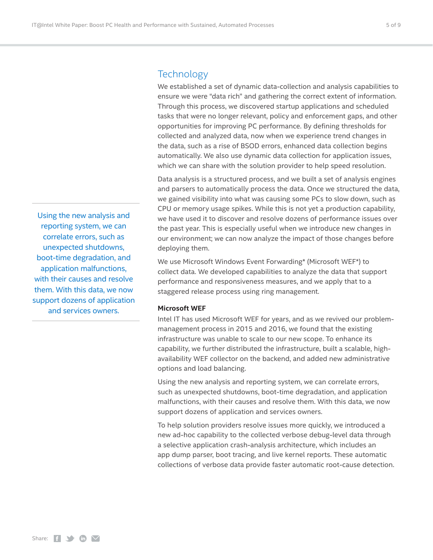## <span id="page-4-0"></span>**Technology**

We established a set of dynamic data-collection and analysis capabilities to ensure we were "data rich" and gathering the correct extent of information. Through this process, we discovered startup applications and scheduled tasks that were no longer relevant, policy and enforcement gaps, and other opportunities for improving PC performance. By defining thresholds for collected and analyzed data, now when we experience trend changes in the data, such as a rise of BSOD errors, enhanced data collection begins automatically. We also use dynamic data collection for application issues, which we can share with the solution provider to help speed resolution.

Data analysis is a structured process, and we built a set of analysis engines and parsers to automatically process the data. Once we structured the data, we gained visibility into what was causing some PCs to slow down, such as CPU or memory usage spikes. While this is not yet a production capability, we have used it to discover and resolve dozens of performance issues over the past year. This is especially useful when we introduce new changes in our environment; we can now analyze the impact of those changes before deploying them.

We use Microsoft Windows Event Forwarding\* (Microsoft WEF\*) to collect data. We developed capabilities to analyze the data that support performance and responsiveness measures, and we apply that to a staggered release process using ring management.

#### **Microsoft WEF**

Intel IT has used Microsoft WEF for years, and as we revived our problemmanagement process in 2015 and 2016, we found that the existing infrastructure was unable to scale to our new scope. To enhance its capability, we further distributed the infrastructure, built a scalable, highavailability WEF collector on the backend, and added new administrative options and load balancing.

Using the new analysis and reporting system, we can correlate errors, such as unexpected shutdowns, boot-time degradation, and application malfunctions, with their causes and resolve them. With this data, we now support dozens of application and services owners.

To help solution providers resolve issues more quickly, we introduced a new ad-hoc capability to the collected verbose debug-level data through a selective application crash-analysis architecture, which includes an app dump parser, boot tracing, and live kernel reports. These automatic collections of verbose data provide faster automatic root-cause detection.

Using the new analysis and reporting system, we can correlate errors, such as unexpected shutdowns, boot-time degradation, and application malfunctions, with their causes and resolve them. With this data, we now support dozens of application and services owners.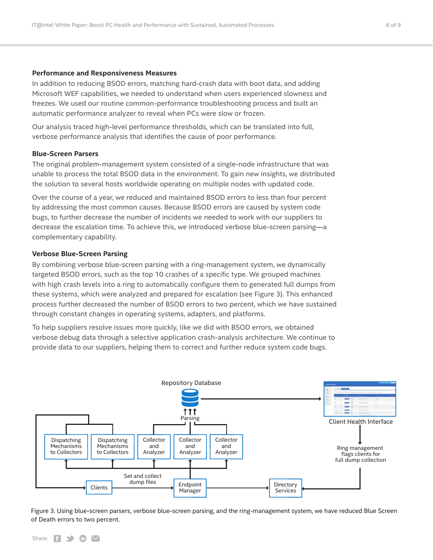#### **Performance and Responsiveness Measures**

In addition to reducing BSOD errors, matching hard-crash data with boot data, and adding Microsoft WEF capabilities, we needed to understand when users experienced slowness and freezes. We used our routine common-performance troubleshooting process and built an automatic performance analyzer to reveal when PCs were slow or frozen.

Our analysis traced high-level performance thresholds, which can be translated into full, verbose performance analysis that identifies the cause of poor performance.

#### **Blue-Screen Parsers**

The original problem-management system consisted of a single-node infrastructure that was unable to process the total BSOD data in the environment. To gain new insights, we distributed the solution to several hosts worldwide operating on multiple nodes with updated code.

Over the course of a year, we reduced and maintained BSOD errors to less than four percent by addressing the most common causes. Because BSOD errors are caused by system code bugs, to further decrease the number of incidents we needed to work with our suppliers to decrease the escalation time. To achieve this, we introduced verbose blue-screen parsing—a complementary capability.

#### **Verbose Blue-Screen Parsing**

By combining verbose blue-screen parsing with a ring-management system, we dynamically targeted BSOD errors, such as the top 10 crashes of a specific type. We grouped machines with high crash levels into a ring to automatically configure them to generated full dumps from these systems, which were analyzed and prepared for escalation (see Figure 3). This enhanced process further decreased the number of BSOD errors to two percent, which we have sustained through constant changes in operating systems, adapters, and platforms.

To help suppliers resolve issues more quickly, like we did with BSOD errors, we obtained verbose debug data through a selective application crash-analysis architecture. We continue to provide data to our suppliers, helping them to correct and further reduce system code bugs.



Figure 3. Using blue-screen parsers, verbose blue-screen parsing, and the ring-management system, we have reduced Blue Screen of Death errors to two percent.

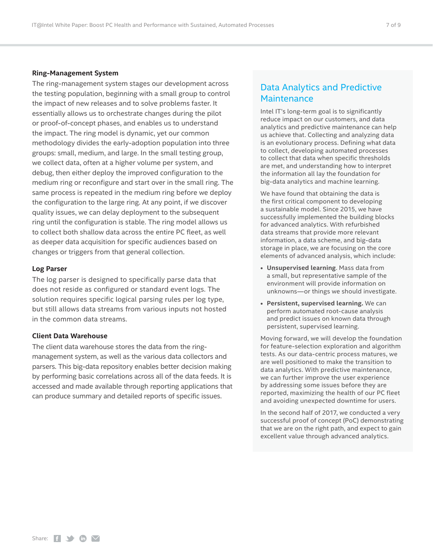#### **Ring-Management System**

The ring-management system stages our development across the testing population, beginning with a small group to control the impact of new releases and to solve problems faster. It essentially allows us to orchestrate changes during the pilot or proof-of-concept phases, and enables us to understand the impact. The ring model is dynamic, yet our common methodology divides the early-adoption population into three groups: small, medium, and large. In the small testing group, we collect data, often at a higher volume per system, and debug, then either deploy the improved configuration to the medium ring or reconfigure and start over in the small ring. The same process is repeated in the medium ring before we deploy the configuration to the large ring. At any point, if we discover quality issues, we can delay deployment to the subsequent ring until the configuration is stable. The ring model allows us to collect both shallow data across the entire PC fleet, as well as deeper data acquisition for specific audiences based on changes or triggers from that general collection.

#### **Log Parser**

The log parser is designed to specifically parse data that does not reside as configured or standard event logs. The solution requires specific logical parsing rules per log type, but still allows data streams from various inputs not hosted in the common data streams.

#### **Client Data Warehouse**

The client data warehouse stores the data from the ringmanagement system, as well as the various data collectors and parsers. This big-data repository enables better decision making by performing basic correlations across all of the data feeds. It is accessed and made available through reporting applications that can produce summary and detailed reports of specific issues.

# Data Analytics and Predictive **Maintenance**

Intel IT's long-term goal is to significantly reduce impact on our customers, and data analytics and predictive maintenance can help us achieve that. Collecting and analyzing data is an evolutionary process. Defining what data to collect, developing automated processes to collect that data when specific thresholds are met, and understanding how to interpret the information all lay the foundation for big-data analytics and machine learning.

We have found that obtaining the data is the first critical component to developing a sustainable model. Since 2015, we have successfully implemented the building blocks for advanced analytics. With refurbished data streams that provide more relevant information, a data scheme, and big-data storage in place, we are focusing on the core elements of advanced analysis, which include:

- **• Unsupervised learning**. Mass data from a small, but representative sample of the environment will provide information on unknowns—or things we should investigate.
- **• Persistent, supervised learning.** We can perform automated root-cause analysis and predict issues on known data through persistent, supervised learning.

Moving forward, we will develop the foundation for feature-selection exploration and algorithm tests. As our data-centric process matures, we are well positioned to make the transition to data analytics. With predictive maintenance, we can further improve the user experience by addressing some issues before they are reported, maximizing the health of our PC fleet and avoiding unexpected downtime for users.

In the second half of 2017, we conducted a very successful proof of concept (PoC) demonstrating that we are on the right path, and expect to gain excellent value through advanced analytics.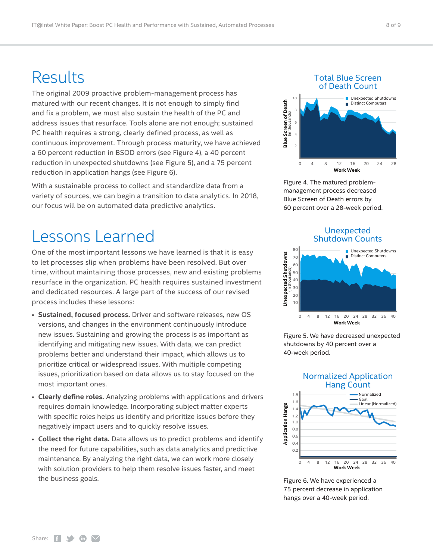# <span id="page-7-0"></span>Results

The original 2009 proactive problem-management process has matured with our recent changes. It is not enough to simply find and fix a problem, we must also sustain the health of the PC and address issues that resurface. Tools alone are not enough; sustained PC health requires a strong, clearly defined process, as well as continuous improvement. Through process maturity, we have achieved a 60 percent reduction in BSOD errors (see Figure 4), a 40 percent reduction in unexpected shutdowns (see Figure 5), and a 75 percent reduction in application hangs (see Figure 6).

With a sustainable process to collect and standardize data from a variety of sources, we can begin a transition to data analytics. In 2018, our focus will be on automated data predictive analytics.

# Lessons Learned

One of the most important lessons we have learned is that it is easy to let processes slip when problems have been resolved. But over time, without maintaining those processes, new and existing problems resurface in the organization. PC health requires sustained investment and dedicated resources. A large part of the success of our revised process includes these lessons:

- **Sustained, focused process.** Driver and software releases, new OS versions, and changes in the environment continuously introduce new issues. Sustaining and growing the process is as important as identifying and mitigating new issues. With data, we can predict problems better and understand their impact, which allows us to prioritize critical or widespread issues. With multiple competing issues, prioritization based on data allows us to stay focused on the most important ones.
- **Clearly define roles.** Analyzing problems with applications and drivers requires domain knowledge. Incorporating subject matter experts with specific roles helps us identify and prioritize issues before they negatively impact users and to quickly resolve issues.
- **Collect the right data.** Data allows us to predict problems and identify the need for future capabilities, such as data analytics and predictive maintenance. By analyzing the right data, we can work more closely with solution providers to help them resolve issues faster, and meet the business goals.

### Total Blue Screen of Death Count



Figure 4. The matured problemmanagement process decreased Blue Screen of Death errors by 60 percent over a 28-week period.

### Unexpected Shutdown Counts



Figure 5. We have decreased unexpected shutdowns by 40 percent over a 40-week period.



Figure 6. We have experienced a 75 percent decrease in application hangs over a 40-week period.